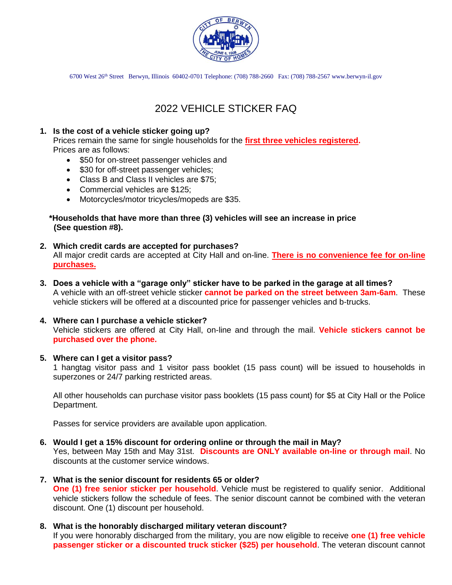

6700 West 26th Street Berwyn, Illinois 60402-0701 Telephone: (708) 788-2660 Fax: (708) 788-2567 www.berwyn-il.gov

# 2022 VEHICLE STICKER FAQ

## **1. Is the cost of a vehicle sticker going up?**

Prices remain the same for single households for the **first three vehicles registered.** Prices are as follows:

- \$50 for on-street passenger vehicles and
- \$30 for off-street passenger vehicles;
- Class B and Class II vehicles are \$75;
- Commercial vehicles are \$125;
- Motorcycles/motor tricycles/mopeds are \$35.

#### **\*Households that have more than three (3) vehicles will see an increase in price (See question #8).**

- **2. Which credit cards are accepted for purchases?** All major credit cards are accepted at City Hall and on-line. **There is no convenience fee for on-line purchases.**
- **3. Does a vehicle with a "garage only" sticker have to be parked in the garage at all times?** A vehicle with an off-street vehicle sticker **cannot be parked on the street between 3am-6am**. These vehicle stickers will be offered at a discounted price for passenger vehicles and b-trucks.

# **4. Where can I purchase a vehicle sticker?**

Vehicle stickers are offered at City Hall, on-line and through the mail. **Vehicle stickers cannot be purchased over the phone.**

#### **5. Where can I get a visitor pass?**

1 hangtag visitor pass and 1 visitor pass booklet (15 pass count) will be issued to households in superzones or 24/7 parking restricted areas.

All other households can purchase visitor pass booklets (15 pass count) for \$5 at City Hall or the Police Department.

Passes for service providers are available upon application.

# **6. Would I get a 15% discount for ordering online or through the mail in May?**

Yes, between May 15th and May 31st. **Discounts are ONLY available on-line or through mail**. No discounts at the customer service windows.

#### **7. What is the senior discount for residents 65 or older?**

**One (1) free senior sticker per household**. Vehicle must be registered to qualify senior. Additional vehicle stickers follow the schedule of fees. The senior discount cannot be combined with the veteran discount. One (1) discount per household.

**8. What is the honorably discharged military veteran discount?** If you were honorably discharged from the military, you are now eligible to receive **one (1) free vehicle passenger sticker or a discounted truck sticker (\$25) per household**. The veteran discount cannot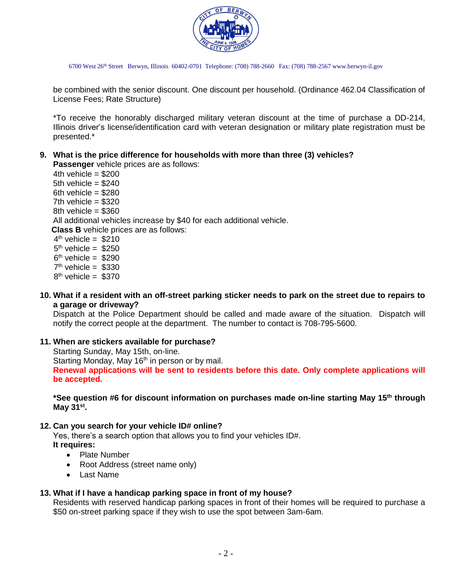

6700 West 26th Street Berwyn, Illinois 60402-0701 Telephone: (708) 788-2660 Fax: (708) 788-2567 www.berwyn-il.gov

be combined with the senior discount. One discount per household. (Ordinance 462.04 Classification of License Fees; Rate Structure)

\*To receive the honorably discharged military veteran discount at the time of purchase a DD-214, Illinois driver's license/identification card with veteran designation or military plate registration must be presented.\*

## **9. What is the price difference for households with more than three (3) vehicles?**

**Passenger** vehicle prices are as follows:

4th vehicle  $= $200$ 5th vehicle = \$240 6th vehicle  $= $280$ 7th vehicle  $= $320$  $8th$  vehicle = \$360 All additional vehicles increase by \$40 for each additional vehicle. **Class B** vehicle prices are as follows:  $4<sup>th</sup>$  vehicle = \$210  $5<sup>th</sup>$  vehicle = \$250  $6<sup>th</sup>$  vehicle = \$290

- $7<sup>th</sup>$  vehicle = \$330  $8<sup>th</sup>$  vehicle = \$370
	- **10. What if a resident with an off-street parking sticker needs to park on the street due to repairs to a garage or driveway?**

Dispatch at the Police Department should be called and made aware of the situation. Dispatch will notify the correct people at the department. The number to contact is 708-795-5600.

#### **11. When are stickers available for purchase?**

Starting Sunday, May 15th, on-line. Starting Monday, May 16<sup>th</sup> in person or by mail. **Renewal applications will be sent to residents before this date. Only complete applications will be accepted.** 

**\*See question #6 for discount information on purchases made on-line starting May 15th through May 31st .** 

#### **12. Can you search for your vehicle ID# online?**

Yes, there's a search option that allows you to find your vehicles ID#.

**It requires:**

- Plate Number
- Root Address (street name only)
- Last Name

#### **13. What if I have a handicap parking space in front of my house?**

Residents with reserved handicap parking spaces in front of their homes will be required to purchase a \$50 on-street parking space if they wish to use the spot between 3am-6am.